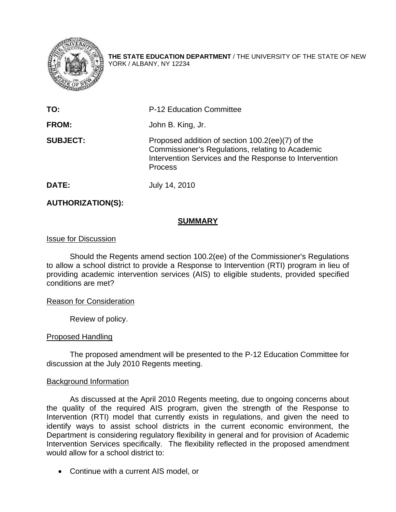

**THE STATE EDUCATION DEPARTMENT** / THE UNIVERSITY OF THE STATE OF NEW YORK / ALBANY, NY 12234

| TO:             | <b>P-12 Education Committee</b>                                                                                                                                                  |
|-----------------|----------------------------------------------------------------------------------------------------------------------------------------------------------------------------------|
| <b>FROM:</b>    | John B. King, Jr.                                                                                                                                                                |
| <b>SUBJECT:</b> | Proposed addition of section 100.2(ee)(7) of the<br>Commissioner's Regulations, relating to Academic<br>Intervention Services and the Response to Intervention<br><b>Process</b> |
| DATE:           | July 14, 2010                                                                                                                                                                    |

# **AUTHORIZATION(S):**

### **SUMMARY**

#### Issue for Discussion

 Should the Regents amend section 100.2(ee) of the Commissioner's Regulations to allow a school district to provide a Response to Intervention (RTI) program in lieu of providing academic intervention services (AIS) to eligible students, provided specified conditions are met?

#### Reason for Consideration

Review of policy.

#### Proposed Handling

 The proposed amendment will be presented to the P-12 Education Committee for discussion at the July 2010 Regents meeting.

#### Background Information

 As discussed at the April 2010 Regents meeting, due to ongoing concerns about the quality of the required AIS program, given the strength of the Response to Intervention (RTI) model that currently exists in regulations, and given the need to identify ways to assist school districts in the current economic environment, the Department is considering regulatory flexibility in general and for provision of Academic Intervention Services specifically. The flexibility reflected in the proposed amendment would allow for a school district to:

• Continue with a current AIS model, or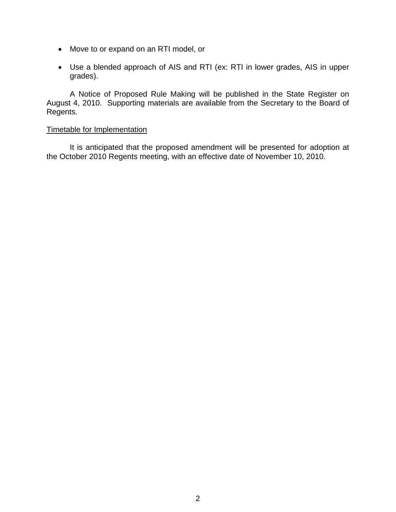- Move to or expand on an RTI model, or
- Use a blended approach of AIS and RTI (ex: RTI in lower grades, AIS in upper grades).

 A Notice of Proposed Rule Making will be published in the State Register on August 4, 2010. Supporting materials are available from the Secretary to the Board of Regents.

## Timetable for Implementation

 It is anticipated that the proposed amendment will be presented for adoption at the October 2010 Regents meeting, with an effective date of November 10, 2010.